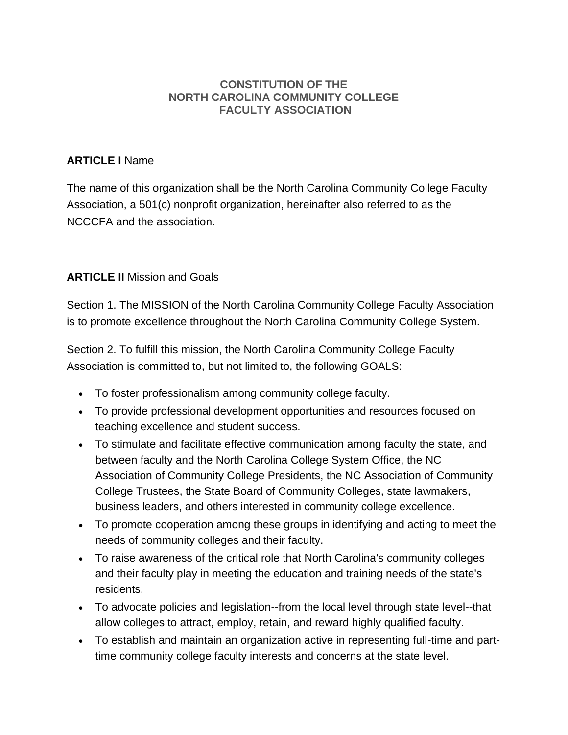#### **CONSTITUTION OF THE NORTH CAROLINA COMMUNITY COLLEGE FACULTY ASSOCIATION**

### **ARTICLE I** Name

The name of this organization shall be the North Carolina Community College Faculty Association, a 501(c) nonprofit organization, hereinafter also referred to as the NCCCFA and the association.

# **ARTICLE II** Mission and Goals

Section 1. The MISSION of the North Carolina Community College Faculty Association is to promote excellence throughout the North Carolina Community College System.

Section 2. To fulfill this mission, the North Carolina Community College Faculty Association is committed to, but not limited to, the following GOALS:

- To foster professionalism among community college faculty.
- To provide professional development opportunities and resources focused on teaching excellence and student success.
- To stimulate and facilitate effective communication among faculty the state, and between faculty and the North Carolina College System Office, the NC Association of Community College Presidents, the NC Association of Community College Trustees, the State Board of Community Colleges, state lawmakers, business leaders, and others interested in community college excellence.
- To promote cooperation among these groups in identifying and acting to meet the needs of community colleges and their faculty.
- To raise awareness of the critical role that North Carolina's community colleges and their faculty play in meeting the education and training needs of the state's residents.
- To advocate policies and legislation--from the local level through state level--that allow colleges to attract, employ, retain, and reward highly qualified faculty.
- To establish and maintain an organization active in representing full-time and parttime community college faculty interests and concerns at the state level.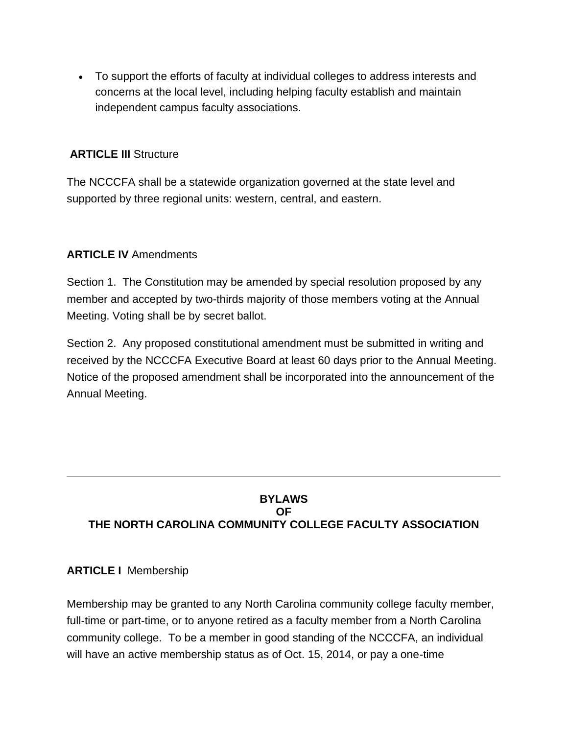• To support the efforts of faculty at individual colleges to address interests and concerns at the local level, including helping faculty establish and maintain independent campus faculty associations.

#### **ARTICLE III** Structure

The NCCCFA shall be a statewide organization governed at the state level and supported by three regional units: western, central, and eastern.

### **ARTICLE IV** Amendments

Section 1. The Constitution may be amended by special resolution proposed by any member and accepted by two-thirds majority of those members voting at the Annual Meeting. Voting shall be by secret ballot.

Section 2. Any proposed constitutional amendment must be submitted in writing and received by the NCCCFA Executive Board at least 60 days prior to the Annual Meeting. Notice of the proposed amendment shall be incorporated into the announcement of the Annual Meeting.

### **BYLAWS OF THE NORTH CAROLINA COMMUNITY COLLEGE FACULTY ASSOCIATION**

#### **ARTICLE I** Membership

Membership may be granted to any North Carolina community college faculty member, full-time or part-time, or to anyone retired as a faculty member from a North Carolina community college. To be a member in good standing of the NCCCFA, an individual will have an active membership status as of Oct. 15, 2014, or pay a one-time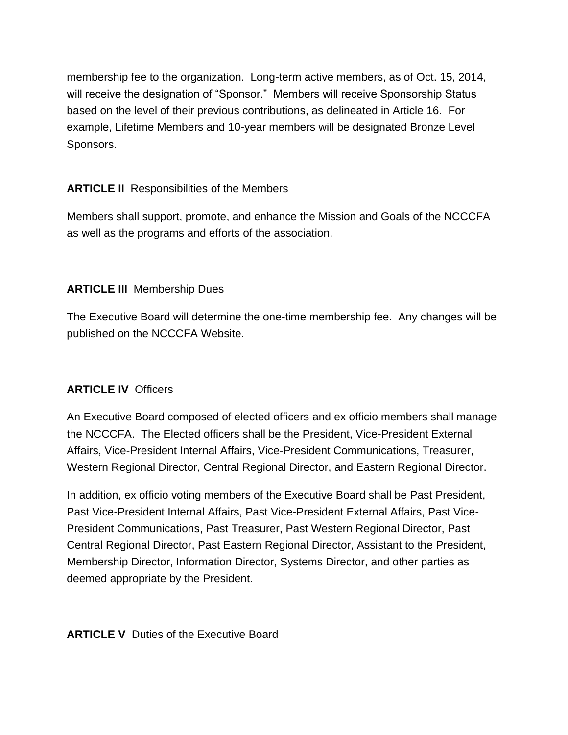membership fee to the organization. Long-term active members, as of Oct. 15, 2014, will receive the designation of "Sponsor." Members will receive Sponsorship Status based on the level of their previous contributions, as delineated in Article 16. For example, Lifetime Members and 10-year members will be designated Bronze Level Sponsors.

# **ARTICLE II** Responsibilities of the Members

Members shall support, promote, and enhance the Mission and Goals of the NCCCFA as well as the programs and efforts of the association.

## **ARTICLE III** Membership Dues

The Executive Board will determine the one-time membership fee. Any changes will be published on the NCCCFA Website.

# **ARTICLE IV** Officers

An Executive Board composed of elected officers and ex officio members shall manage the NCCCFA. The Elected officers shall be the President, Vice-President External Affairs, Vice-President Internal Affairs, Vice-President Communications, Treasurer, Western Regional Director, Central Regional Director, and Eastern Regional Director.

In addition, ex officio voting members of the Executive Board shall be Past President, Past Vice-President Internal Affairs, Past Vice-President External Affairs, Past Vice-President Communications, Past Treasurer, Past Western Regional Director, Past Central Regional Director, Past Eastern Regional Director, Assistant to the President, Membership Director, Information Director, Systems Director, and other parties as deemed appropriate by the President.

**ARTICLE V** Duties of the Executive Board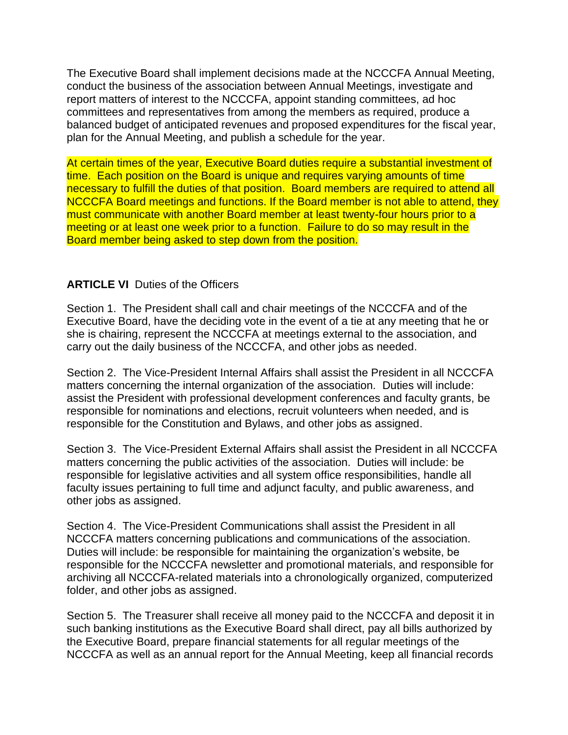The Executive Board shall implement decisions made at the NCCCFA Annual Meeting, conduct the business of the association between Annual Meetings, investigate and report matters of interest to the NCCCFA, appoint standing committees, ad hoc committees and representatives from among the members as required, produce a balanced budget of anticipated revenues and proposed expenditures for the fiscal year, plan for the Annual Meeting, and publish a schedule for the year.

At certain times of the year, Executive Board duties require a substantial investment of time. Each position on the Board is unique and requires varying amounts of time necessary to fulfill the duties of that position. Board members are required to attend all NCCCFA Board meetings and functions. If the Board member is not able to attend, they must communicate with another Board member at least twenty-four hours prior to a meeting or at least one week prior to a function. Failure to do so may result in the Board member being asked to step down from the position.

#### **ARTICLE VI** Duties of the Officers

Section 1. The President shall call and chair meetings of the NCCCFA and of the Executive Board, have the deciding vote in the event of a tie at any meeting that he or she is chairing, represent the NCCCFA at meetings external to the association, and carry out the daily business of the NCCCFA, and other jobs as needed.

Section 2. The Vice-President Internal Affairs shall assist the President in all NCCCFA matters concerning the internal organization of the association. Duties will include: assist the President with professional development conferences and faculty grants, be responsible for nominations and elections, recruit volunteers when needed, and is responsible for the Constitution and Bylaws, and other jobs as assigned.

Section 3. The Vice-President External Affairs shall assist the President in all NCCCFA matters concerning the public activities of the association. Duties will include: be responsible for legislative activities and all system office responsibilities, handle all faculty issues pertaining to full time and adjunct faculty, and public awareness, and other jobs as assigned.

Section 4. The Vice-President Communications shall assist the President in all NCCCFA matters concerning publications and communications of the association. Duties will include: be responsible for maintaining the organization's website, be responsible for the NCCCFA newsletter and promotional materials, and responsible for archiving all NCCCFA-related materials into a chronologically organized, computerized folder, and other jobs as assigned.

Section 5. The Treasurer shall receive all money paid to the NCCCFA and deposit it in such banking institutions as the Executive Board shall direct, pay all bills authorized by the Executive Board, prepare financial statements for all regular meetings of the NCCCFA as well as an annual report for the Annual Meeting, keep all financial records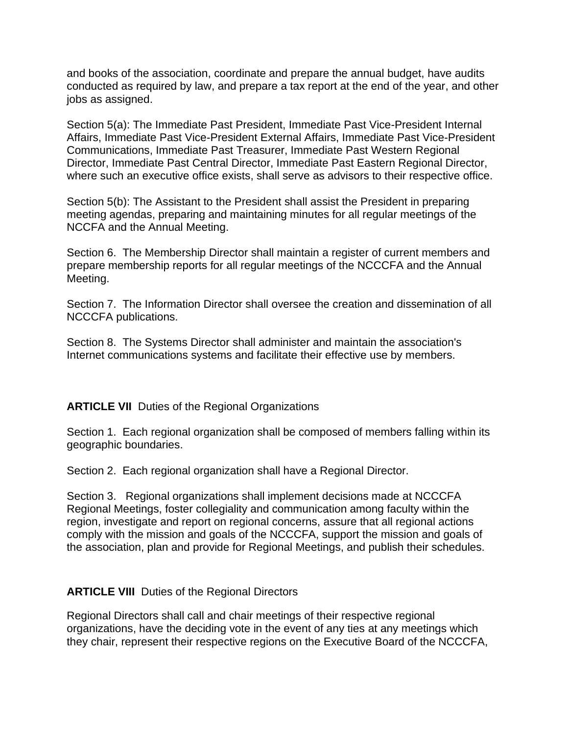and books of the association, coordinate and prepare the annual budget, have audits conducted as required by law, and prepare a tax report at the end of the year, and other jobs as assigned.

Section 5(a): The Immediate Past President, Immediate Past Vice-President Internal Affairs, Immediate Past Vice-President External Affairs, Immediate Past Vice-President Communications, Immediate Past Treasurer, Immediate Past Western Regional Director, Immediate Past Central Director, Immediate Past Eastern Regional Director, where such an executive office exists, shall serve as advisors to their respective office.

Section 5(b): The Assistant to the President shall assist the President in preparing meeting agendas, preparing and maintaining minutes for all regular meetings of the NCCFA and the Annual Meeting.

Section 6. The Membership Director shall maintain a register of current members and prepare membership reports for all regular meetings of the NCCCFA and the Annual Meeting.

Section 7. The Information Director shall oversee the creation and dissemination of all NCCCFA publications.

Section 8. The Systems Director shall administer and maintain the association's Internet communications systems and facilitate their effective use by members.

#### **ARTICLE VII** Duties of the Regional Organizations

Section 1. Each regional organization shall be composed of members falling within its geographic boundaries.

Section 2. Each regional organization shall have a Regional Director.

Section 3. Regional organizations shall implement decisions made at NCCCFA Regional Meetings, foster collegiality and communication among faculty within the region, investigate and report on regional concerns, assure that all regional actions comply with the mission and goals of the NCCCFA, support the mission and goals of the association, plan and provide for Regional Meetings, and publish their schedules.

#### **ARTICLE VIII** Duties of the Regional Directors

Regional Directors shall call and chair meetings of their respective regional organizations, have the deciding vote in the event of any ties at any meetings which they chair, represent their respective regions on the Executive Board of the NCCCFA,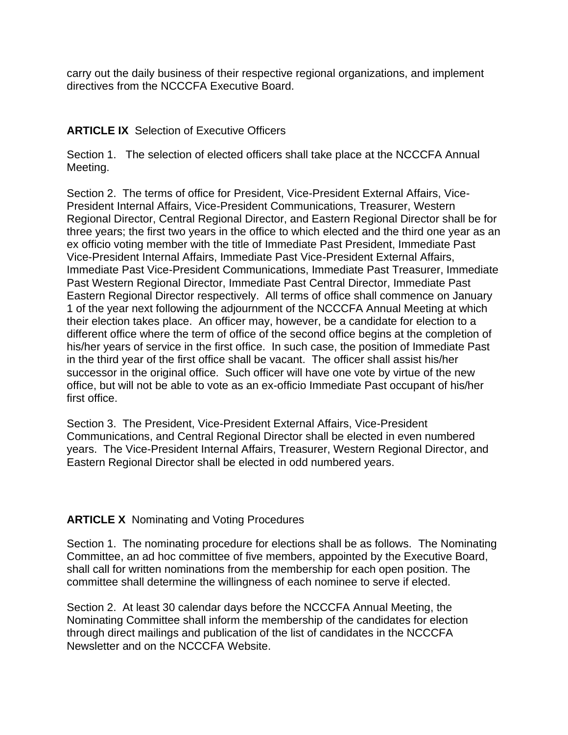carry out the daily business of their respective regional organizations, and implement directives from the NCCCFA Executive Board.

#### **ARTICLE IX** Selection of Executive Officers

Section 1. The selection of elected officers shall take place at the NCCCFA Annual Meeting.

Section 2. The terms of office for President, Vice-President External Affairs, Vice-President Internal Affairs, Vice-President Communications, Treasurer, Western Regional Director, Central Regional Director, and Eastern Regional Director shall be for three years; the first two years in the office to which elected and the third one year as an ex officio voting member with the title of Immediate Past President, Immediate Past Vice-President Internal Affairs, Immediate Past Vice-President External Affairs, Immediate Past Vice-President Communications, Immediate Past Treasurer, Immediate Past Western Regional Director, Immediate Past Central Director, Immediate Past Eastern Regional Director respectively. All terms of office shall commence on January 1 of the year next following the adjournment of the NCCCFA Annual Meeting at which their election takes place. An officer may, however, be a candidate for election to a different office where the term of office of the second office begins at the completion of his/her years of service in the first office. In such case, the position of Immediate Past in the third year of the first office shall be vacant. The officer shall assist his/her successor in the original office. Such officer will have one vote by virtue of the new office, but will not be able to vote as an ex-officio Immediate Past occupant of his/her first office.

Section 3. The President, Vice-President External Affairs, Vice-President Communications, and Central Regional Director shall be elected in even numbered years. The Vice-President Internal Affairs, Treasurer, Western Regional Director, and Eastern Regional Director shall be elected in odd numbered years.

### **ARTICLE X** Nominating and Voting Procedures

Section 1. The nominating procedure for elections shall be as follows. The Nominating Committee, an ad hoc committee of five members, appointed by the Executive Board, shall call for written nominations from the membership for each open position. The committee shall determine the willingness of each nominee to serve if elected.

Section 2. At least 30 calendar days before the NCCCFA Annual Meeting, the Nominating Committee shall inform the membership of the candidates for election through direct mailings and publication of the list of candidates in the NCCCFA Newsletter and on the NCCCFA Website.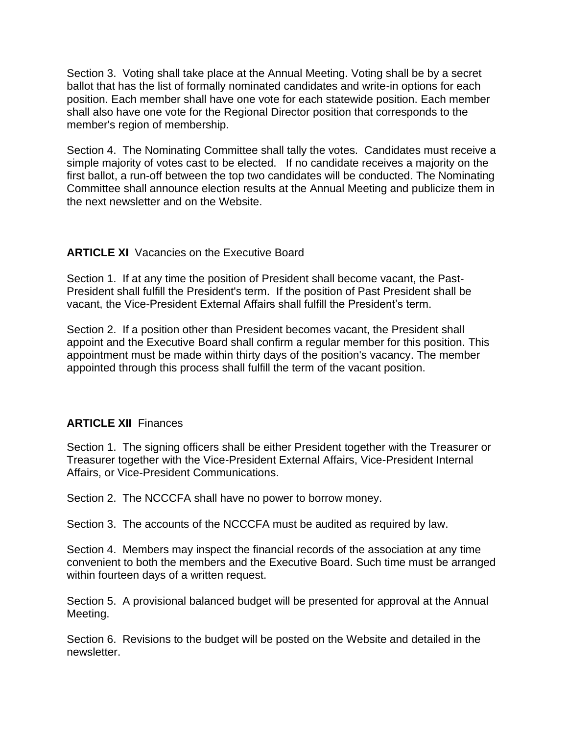Section 3. Voting shall take place at the Annual Meeting. Voting shall be by a secret ballot that has the list of formally nominated candidates and write-in options for each position. Each member shall have one vote for each statewide position. Each member shall also have one vote for the Regional Director position that corresponds to the member's region of membership.

Section 4. The Nominating Committee shall tally the votes. Candidates must receive a simple majority of votes cast to be elected. If no candidate receives a majority on the first ballot, a run-off between the top two candidates will be conducted. The Nominating Committee shall announce election results at the Annual Meeting and publicize them in the next newsletter and on the Website.

### **ARTICLE XI** Vacancies on the Executive Board

Section 1. If at any time the position of President shall become vacant, the Past-President shall fulfill the President's term. If the position of Past President shall be vacant, the Vice-President External Affairs shall fulfill the President's term.

Section 2. If a position other than President becomes vacant, the President shall appoint and the Executive Board shall confirm a regular member for this position. This appointment must be made within thirty days of the position's vacancy. The member appointed through this process shall fulfill the term of the vacant position.

### **ARTICLE XII** Finances

Section 1. The signing officers shall be either President together with the Treasurer or Treasurer together with the Vice-President External Affairs, Vice-President Internal Affairs, or Vice-President Communications.

Section 2. The NCCCFA shall have no power to borrow money.

Section 3. The accounts of the NCCCFA must be audited as required by law.

Section 4. Members may inspect the financial records of the association at any time convenient to both the members and the Executive Board. Such time must be arranged within fourteen days of a written request.

Section 5. A provisional balanced budget will be presented for approval at the Annual Meeting.

Section 6. Revisions to the budget will be posted on the Website and detailed in the newsletter.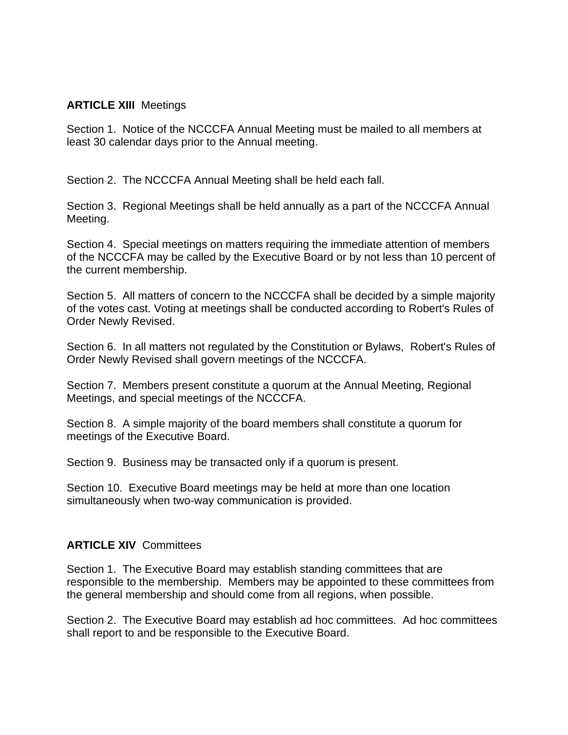#### **ARTICLE XIII** Meetings

Section 1. Notice of the NCCCFA Annual Meeting must be mailed to all members at least 30 calendar days prior to the Annual meeting.

Section 2. The NCCCFA Annual Meeting shall be held each fall.

Section 3. Regional Meetings shall be held annually as a part of the NCCCFA Annual Meeting.

Section 4. Special meetings on matters requiring the immediate attention of members of the NCCCFA may be called by the Executive Board or by not less than 10 percent of the current membership.

Section 5. All matters of concern to the NCCCFA shall be decided by a simple majority of the votes cast. Voting at meetings shall be conducted according to Robert's Rules of Order Newly Revised.

Section 6. In all matters not regulated by the Constitution or Bylaws, Robert's Rules of Order Newly Revised shall govern meetings of the NCCCFA.

Section 7. Members present constitute a quorum at the Annual Meeting, Regional Meetings, and special meetings of the NCCCFA.

Section 8. A simple majority of the board members shall constitute a quorum for meetings of the Executive Board.

Section 9. Business may be transacted only if a quorum is present.

Section 10. Executive Board meetings may be held at more than one location simultaneously when two-way communication is provided.

### **ARTICLE XIV** Committees

Section 1. The Executive Board may establish standing committees that are responsible to the membership. Members may be appointed to these committees from the general membership and should come from all regions, when possible.

Section 2. The Executive Board may establish ad hoc committees. Ad hoc committees shall report to and be responsible to the Executive Board.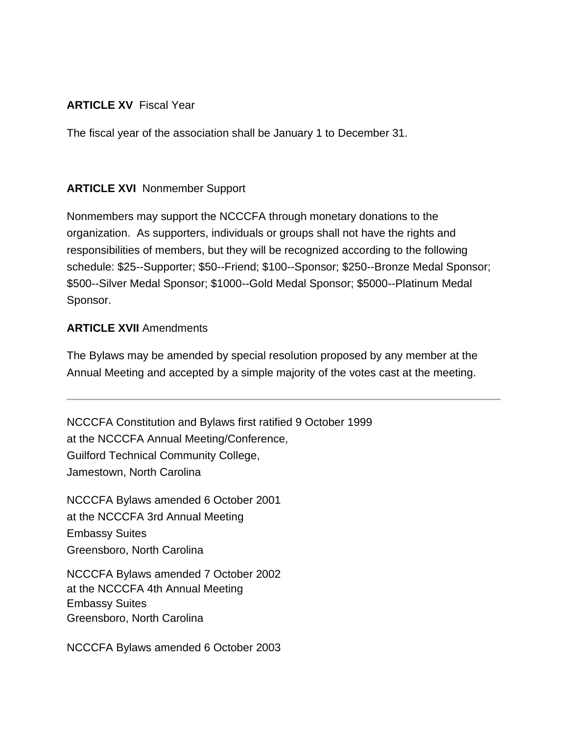## **ARTICLE XV** Fiscal Year

The fiscal year of the association shall be January 1 to December 31.

# **ARTICLE XVI** Nonmember Support

Nonmembers may support the NCCCFA through monetary donations to the organization. As supporters, individuals or groups shall not have the rights and responsibilities of members, but they will be recognized according to the following schedule: \$25--Supporter; \$50--Friend; \$100--Sponsor; \$250--Bronze Medal Sponsor; \$500--Silver Medal Sponsor; \$1000--Gold Medal Sponsor; \$5000--Platinum Medal Sponsor.

## **ARTICLE XVII** Amendments

The Bylaws may be amended by special resolution proposed by any member at the Annual Meeting and accepted by a simple majority of the votes cast at the meeting.

NCCCFA Constitution and Bylaws first ratified 9 October 1999 at the NCCCFA Annual Meeting/Conference, Guilford Technical Community College, Jamestown, North Carolina

NCCCFA Bylaws amended 6 October 2001 at the NCCCFA 3rd Annual Meeting Embassy Suites Greensboro, North Carolina

NCCCFA Bylaws amended 7 October 2002 at the NCCCFA 4th Annual Meeting Embassy Suites Greensboro, North Carolina

NCCCFA Bylaws amended 6 October 2003